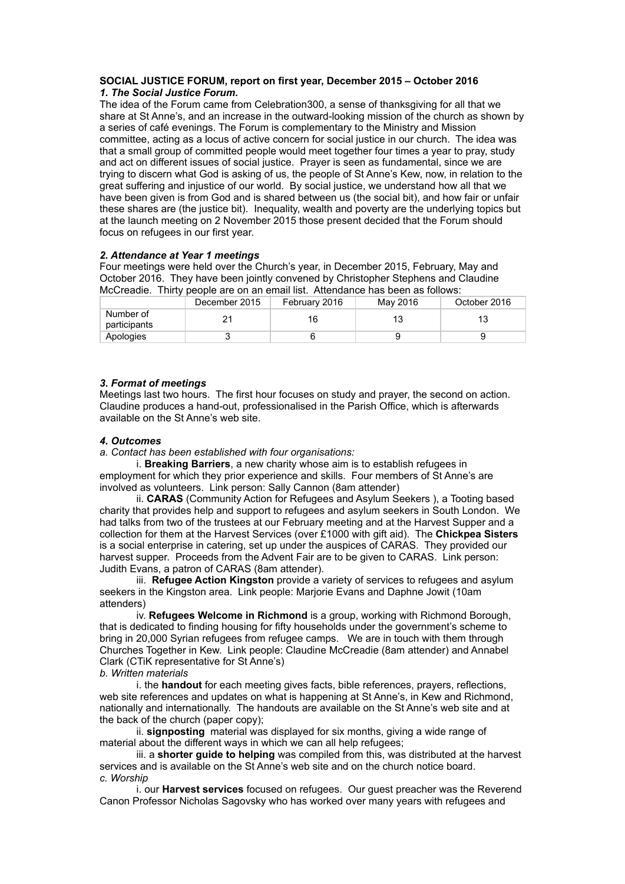#### **SOCIAL JUSTICE FORUM, report on first year, December 2015 – October 2016** *1. The Social Justice Forum.*

The idea of the Forum came from Celebration300, a sense of thanksgiving for all that we share at St Anne's, and an increase in the outward-looking mission of the church as shown by a series of café evenings. The Forum is complementary to the Ministry and Mission committee, acting as a locus of active concern for social justice in our church. The idea was that a small group of committed people would meet together four times a year to pray, study and act on different issues of social justice. Prayer is seen as fundamental, since we are trying to discern what God is asking of us, the people of St Anne's Kew, now, in relation to the great suffering and injustice of our world. By social justice, we understand how all that we have been given is from God and is shared between us (the social bit), and how fair or unfair these shares are (the justice bit). Inequality, wealth and poverty are the underlying topics but at the launch meeting on 2 November 2015 those present decided that the Forum should focus on refugees in our first year.

## *2. Attendance at Year 1 meetings*

Four meetings were held over the Church's year, in December 2015, February, May and October 2016. They have been jointly convened by Christopher Stephens and Claudine McCreadie. Thirty people are on an email list. Attendance has been as follows:

|                           | December 2015 | February 2016 | May 2016 | October 2016 |  |  |
|---------------------------|---------------|---------------|----------|--------------|--|--|
| Number of<br>participants |               | 16            | 13       | 13           |  |  |
| Apologies                 |               |               |          |              |  |  |

## *3. Format of meetings*

Meetings last two hours. The first hour focuses on study and prayer, the second on action. Claudine produces a hand-out, professionalised in the Parish Office, which is afterwards available on the St Anne's web site.

### *4. Outcomes*

### *a. Contact has been established with four organisations:*

i. **Breaking Barriers**, a new charity whose aim is to establish refugees in employment for which they prior experience and skills. Four members of St Anne's are involved as volunteers. Link person: Sally Cannon (8am attender)

ii. **CARAS** (Community Action for Refugees and Asylum Seekers ), a Tooting based charity that provides help and support to refugees and asylum seekers in South London. We had talks from two of the trustees at our February meeting and at the Harvest Supper and a collection for them at the Harvest Services (over £1000 with gift aid). The **Chickpea Sisters** is a social enterprise in catering, set up under the auspices of CARAS. They provided our harvest supper. Proceeds from the Advent Fair are to be given to CARAS. Link person: Judith Evans, a patron of CARAS (8am attender).

iii. **Refugee Action Kingston** provide a variety of services to refugees and asylum seekers in the Kingston area. Link people: Marjorie Evans and Daphne Jowit (10am attenders)

iv. **Refugees Welcome in Richmond** is a group, working with Richmond Borough, that is dedicated to finding housing for fifty households under the government's scheme to bring in 20,000 Syrian refugees from refugee camps. We are in touch with them through Churches Together in Kew. Link people: Claudine McCreadie (8am attender) and Annabel Clark (CTiK representative for St Anne's)

### *b. Written materials*

i. the **handout** for each meeting gives facts, bible references, prayers, reflections, web site references and updates on what is happening at St Anne's, in Kew and Richmond, nationally and internationally. The handouts are available on the St Anne's web site and at the back of the church (paper copy);

ii. **signposting** material was displayed for six months, giving a wide range of material about the different ways in which we can all help refugees;

iii. a **shorter guide to helping** was compiled from this, was distributed at the harvest services and is available on the St Anne's web site and on the church notice board. *c. Worship* 

i. our **Harvest services** focused on refugees. Our guest preacher was the Reverend Canon Professor Nicholas Sagovsky who has worked over many years with refugees and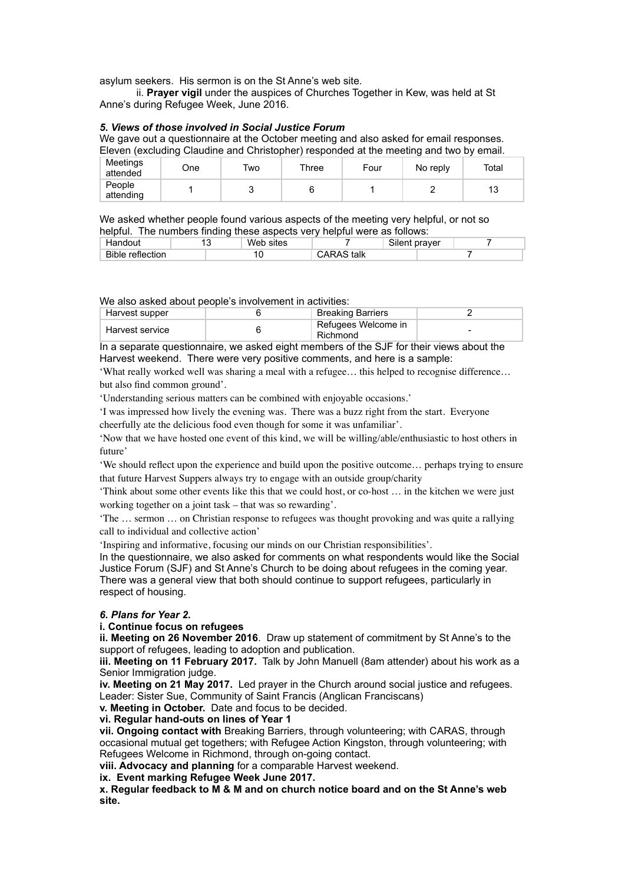asylum seekers. His sermon is on the St Anne's web site.

ii. **Prayer vigil** under the auspices of Churches Together in Kew, was held at St Anne's during Refugee Week, June 2016.

### *5. Views of those involved in Social Justice Forum*

We gave out a questionnaire at the October meeting and also asked for email responses. Eleven (excluding Claudine and Christopher) responded at the meeting and two by email.

| Meetings<br>attended | One | Two | Three | Four | No reply | Total |
|----------------------|-----|-----|-------|------|----------|-------|
| People<br>attending  |     | ∼   |       |      |          | 13    |

We asked whether people found various aspects of the meeting very helpful, or not so helpful. The numbers finding these aspects very helpful were as follows:

| Handout                 | ∽ | Web<br>sites |                 | Silent praver |  |
|-------------------------|---|--------------|-----------------|---------------|--|
| <b>Bible reflection</b> |   | J            | S talk<br>CARAS |               |  |

We also asked about people's involvement in activities:

| Harvest supper  | <b>Breaking Barriers</b>        |  |
|-----------------|---------------------------------|--|
| Harvest service | Refugees Welcome in<br>Richmond |  |

In a separate questionnaire, we asked eight members of the SJF for their views about the Harvest weekend. There were very positive comments, and here is a sample:

'What really worked well was sharing a meal with a refugee… this helped to recognise difference… but also find common ground'.

'Understanding serious matters can be combined with enjoyable occasions.'

'I was impressed how lively the evening was. There was a buzz right from the start. Everyone cheerfully ate the delicious food even though for some it was unfamiliar'.

'Now that we have hosted one event of this kind, we will be willing/able/enthusiastic to host others in future'

'We should reflect upon the experience and build upon the positive outcome… perhaps trying to ensure that future Harvest Suppers always try to engage with an outside group/charity

'Think about some other events like this that we could host, or co-host … in the kitchen we were just working together on a joint task – that was so rewarding'.

'The … sermon … on Christian response to refugees was thought provoking and was quite a rallying call to individual and collective action'

'Inspiring and informative, focusing our minds on our Christian responsibilities'.

In the questionnaire, we also asked for comments on what respondents would like the Social Justice Forum (SJF) and St Anne's Church to be doing about refugees in the coming year. There was a general view that both should continue to support refugees, particularly in respect of housing.

### *6. Plans for Year 2.*

### **i. Continue focus on refugees**

**ii. Meeting on 26 November 2016**. Draw up statement of commitment by St Anne's to the support of refugees, leading to adoption and publication.

**iii. Meeting on 11 February 2017.** Talk by John Manuell (8am attender) about his work as a Senior Immigration judge.

**iv. Meeting on 21 May 2017.** Led prayer in the Church around social justice and refugees. Leader: Sister Sue, Community of Saint Francis (Anglican Franciscans)

**v. Meeting in October.** Date and focus to be decided.

### **vi. Regular hand-outs on lines of Year 1**

**vii. Ongoing contact with** Breaking Barriers, through volunteering; with CARAS, through occasional mutual get togethers; with Refugee Action Kingston, through volunteering; with Refugees Welcome in Richmond, through on-going contact.

**viii. Advocacy and planning** for a comparable Harvest weekend.

**ix. Event marking Refugee Week June 2017.** 

**x. Regular feedback to M & M and on church notice board and on the St Anne's web site.**